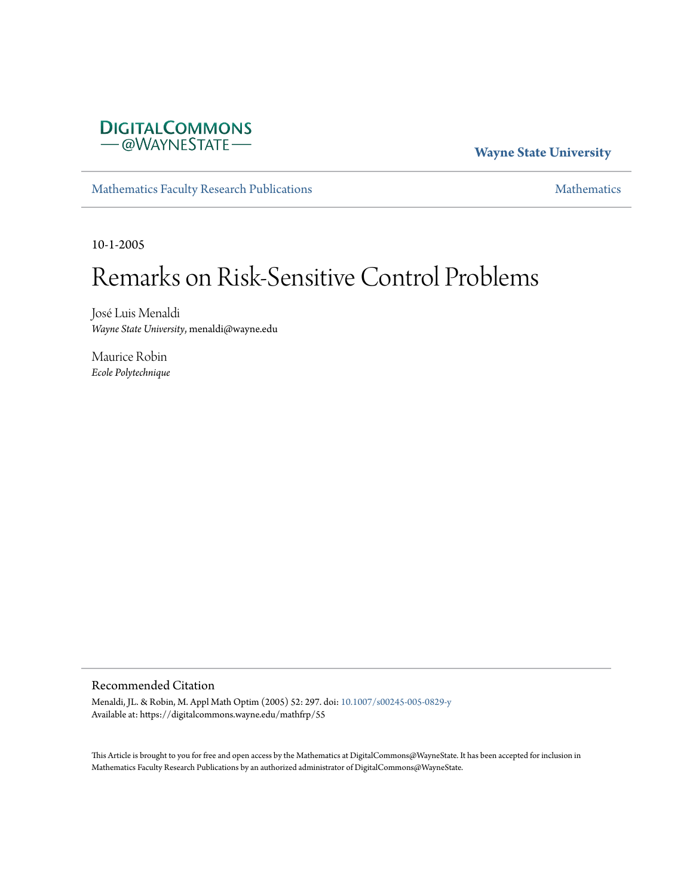

#### **Wayne State University**

[Mathematics Faculty Research Publications](https://digitalcommons.wayne.edu/mathfrp) **[Mathematics](https://digitalcommons.wayne.edu/math)** Mathematics

10-1-2005

# Remarks on Risk-Sensitive Control Problems

José Luis Menaldi *Wayne State University*, menaldi@wayne.edu

Maurice Robin *Ecole Polytechnique*

#### Recommended Citation

Menaldi, JL. & Robin, M. Appl Math Optim (2005) 52: 297. doi: [10.1007/s00245-005-0829-y](https://dx.doi.org/10.1007/s00245-005-0829-y) Available at: https://digitalcommons.wayne.edu/mathfrp/55

This Article is brought to you for free and open access by the Mathematics at DigitalCommons@WayneState. It has been accepted for inclusion in Mathematics Faculty Research Publications by an authorized administrator of DigitalCommons@WayneState.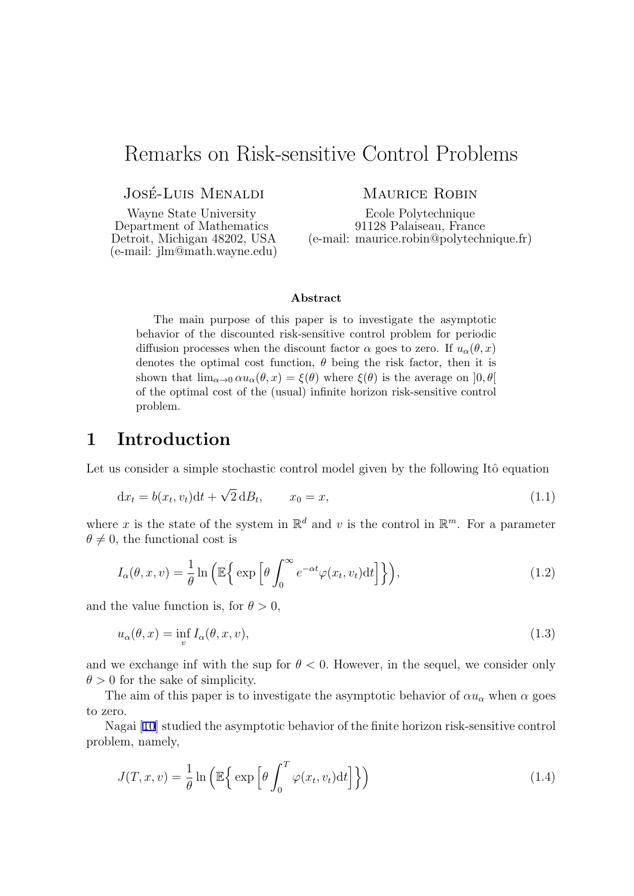## <span id="page-1-0"></span>Remarks on Risk-sensitive Control Problems

JOSÉ-LUIS MENALDI

Wayne State University Department of Mathematics Detroit, Michigan 48202, USA (e-mail: jlm@math.wayne.edu) MAURICE ROBIN

Ecole Polytechnique 91128 Palaiseau, France (e-mail: maurice.robin@polytechnique.fr)

#### **Abstract**

The main purpose of this paper is to investigate the asymptotic behavior of the discounted risk-sensitive control problem for periodic diffusion processes when the discount factor  $\alpha$  goes to zero. If  $u_{\alpha}(\theta, x)$ denotes the optimal cost function,  $\theta$  being the risk factor, then it is shown that  $\lim_{\alpha\to 0} \alpha u_{\alpha}(\theta, x) = \xi(\theta)$  where  $\xi(\theta)$  is the average on  $[0, \theta]$ of the optimal cost of the (usual) infinite horizon risk-sensitive control problem.

## **1 Introduction**

Let us consider a simple stochastic control model given by the following Itô equation

$$
\mathrm{d}x_t = b(x_t, v_t)\mathrm{d}t + \sqrt{2}\,\mathrm{d}B_t, \qquad x_0 = x,\tag{1.1}
$$

where x is the state of the system in  $\mathbb{R}^d$  and v is the control in  $\mathbb{R}^m$ . For a parameter  $\theta \neq 0$ , the functional cost is

$$
I_{\alpha}(\theta, x, v) = \frac{1}{\theta} \ln \left( \mathbb{E} \left\{ \exp \left[ \theta \int_0^{\infty} e^{-\alpha t} \varphi(x_t, v_t) dt \right] \right\} \right), \tag{1.2}
$$

and the value function is, for  $\theta > 0$ ,

$$
u_{\alpha}(\theta, x) = \inf_{v} I_{\alpha}(\theta, x, v), \qquad (1.3)
$$

and we exchange inf with the sup for  $\theta < 0$ . However, in the sequel, we consider only  $\theta > 0$  for the sake of simplicity.

The aim of this paper is to investigate the asymptotic behavior of  $\alpha u_\alpha$  when  $\alpha$  goes to zero.

Nagai [\[10\]](#page-14-0) studied the asymptotic behavior of the finite horizon risk-sensitive control problem, namely,

$$
J(T, x, v) = \frac{1}{\theta} \ln \left( \mathbb{E} \left\{ \exp \left[ \theta \int_0^T \varphi(x_t, v_t) dt \right] \right\} \right)
$$
 (1.4)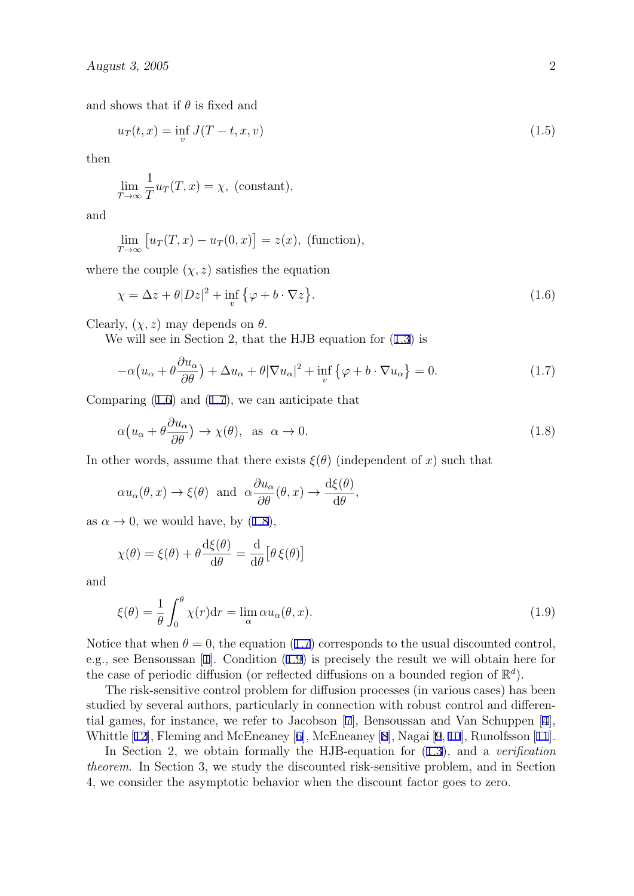<span id="page-2-0"></span>and shows that if  $\theta$  is fixed and

$$
u_T(t,x) = \inf_{v} J(T-t,x,v)
$$
\n(1.5)

then

$$
\lim_{T \to \infty} \frac{1}{T} u_T(T, x) = \chi, \text{ (constant)},
$$

and

$$
\lim_{T \to \infty} [u_T(T, x) - u_T(0, x)] = z(x), \text{ (function)},
$$

where the couple  $(\chi, z)$  satisfies the equation

$$
\chi = \Delta z + \theta |Dz|^2 + \inf_{v} \{ \varphi + b \cdot \nabla z \}.
$$
 (1.6)

Clearly,  $(\chi, z)$  may depends on  $\theta$ .

We will see in Section 2, that the HJB equation for ([1.3](#page-1-0)) is

$$
-\alpha \left(u_{\alpha} + \theta \frac{\partial u_{\alpha}}{\partial \theta}\right) + \Delta u_{\alpha} + \theta |\nabla u_{\alpha}|^2 + \inf_{v} \left\{\varphi + b \cdot \nabla u_{\alpha}\right\} = 0. \tag{1.7}
$$

Comparing (1.6) and (1.7), we can anticipate that

$$
\alpha \left( u_{\alpha} + \theta \frac{\partial u_{\alpha}}{\partial \theta} \right) \to \chi(\theta), \text{ as } \alpha \to 0.
$$
 (1.8)

In other words, assume that there exists  $\xi(\theta)$  (independent of *x*) such that

$$
\alpha u_{\alpha}(\theta, x) \to \xi(\theta)
$$
 and  $\alpha \frac{\partial u_{\alpha}}{\partial \theta}(\theta, x) \to \frac{d\xi(\theta)}{d\theta}$ ,

as  $\alpha \to 0$ , we would have, by (1.8),

$$
\chi(\theta) = \xi(\theta) + \theta \frac{\mathrm{d}\xi(\theta)}{\mathrm{d}\theta} = \frac{\mathrm{d}}{\mathrm{d}\theta} \big[\theta \,\xi(\theta)\big]
$$

and

$$
\xi(\theta) = \frac{1}{\theta} \int_0^{\theta} \chi(r) dr = \lim_{\alpha} \alpha u_{\alpha}(\theta, x). \tag{1.9}
$$

Notice that when  $\theta = 0$ , the equation (1.7) corresponds to the usual discounted control, e.g., see Bensoussan [\[1](#page-13-0)]. Condition (1.9) is precisely the result we will obtain here for the case of periodic diffusion (or reflected diffusions on a bounded region of  $\mathbb{R}^d$ ).

The risk-sensitive control problem for diffusion processes (in various cases) has been studied by several authors, particularly in connection with robust control and differential games, for instance, we refer to Jacobson [\[7](#page-14-0)], Bensoussan and Van Schuppen [[4](#page-13-0)], Whittle [\[12\]](#page-14-0), Fleming and McEneaney [\[6\]](#page-13-0), McEneaney [[8](#page-14-0)], Nagai [\[9](#page-14-0), [10\]](#page-14-0), Runolfsson [[11](#page-14-0)].

In Section 2, we obtain formally the HJB-equation for ([1.3](#page-1-0)), and a *verification theorem*. In Section 3, we study the discounted risk-sensitive problem, and in Section 4, we consider the asymptotic behavior when the discount factor goes to zero.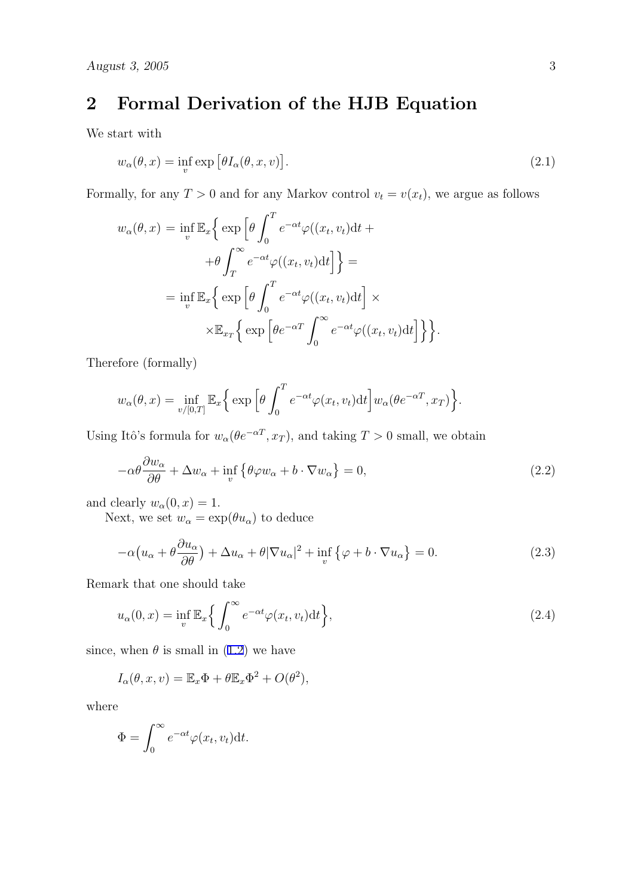# <span id="page-3-0"></span>**2 Formal Derivation of the HJB Equation**

We start with

$$
w_{\alpha}(\theta, x) = \inf_{v} \exp \left[ \theta I_{\alpha}(\theta, x, v) \right]. \tag{2.1}
$$

Formally, for any  $T > 0$  and for any Markov control  $v_t = v(x_t)$ , we argue as follows

$$
w_{\alpha}(\theta, x) = \inf_{v} \mathbb{E}_{x} \Big\{ \exp \Big[\theta \int_{0}^{T} e^{-\alpha t} \varphi((x_{t}, v_{t}) dt + \theta \int_{T}^{\infty} e^{-\alpha t} \varphi((x_{t}, v_{t}) dt] \Big] \Big\} =
$$
  

$$
= \inf_{v} \mathbb{E}_{x} \Big\{ \exp \Big[\theta \int_{0}^{T} e^{-\alpha t} \varphi((x_{t}, v_{t}) dt] \Big] \times
$$
  

$$
\times \mathbb{E}_{x_{T}} \Big\{ \exp \Big[\theta e^{-\alpha T} \int_{0}^{\infty} e^{-\alpha t} \varphi((x_{t}, v_{t}) dt] \Big] \Big\} \Big\}.
$$

Therefore (formally)

$$
w_{\alpha}(\theta, x) = \inf_{v/[0,T]} \mathbb{E}_x \Big\{ \exp \Big[ \theta \int_0^T e^{-\alpha t} \varphi(x_t, v_t) dt \Big] w_{\alpha}(\theta e^{-\alpha T}, x_T) \Big\}.
$$

Using Itô's formula for  $w_\alpha(\theta e^{-\alpha T}, x_T)$ , and taking  $T > 0$  small, we obtain

$$
-\alpha\theta \frac{\partial w_{\alpha}}{\partial \theta} + \Delta w_{\alpha} + \inf_{v} \{ \theta \varphi w_{\alpha} + b \cdot \nabla w_{\alpha} \} = 0, \qquad (2.2)
$$

and clearly  $w_\alpha(0, x) = 1$ .

Next, we set  $w_{\alpha} = \exp(\theta u_{\alpha})$  to deduce

$$
-\alpha \left(u_{\alpha} + \theta \frac{\partial u_{\alpha}}{\partial \theta}\right) + \Delta u_{\alpha} + \theta |\nabla u_{\alpha}|^2 + \inf_{v} \left\{\varphi + b \cdot \nabla u_{\alpha}\right\} = 0. \tag{2.3}
$$

Remark that one should take

$$
u_{\alpha}(0,x) = \inf_{v} \mathbb{E}_{x} \Big\{ \int_{0}^{\infty} e^{-\alpha t} \varphi(x_t, v_t) dt \Big\},\tag{2.4}
$$

since, when  $\theta$  is small in ([1.2\)](#page-1-0) we have

$$
I_{\alpha}(\theta, x, v) = \mathbb{E}_{x} \Phi + \theta \mathbb{E}_{x} \Phi^{2} + O(\theta^{2}),
$$

where

$$
\Phi = \int_0^\infty e^{-\alpha t} \varphi(x_t, v_t) \mathrm{d}t.
$$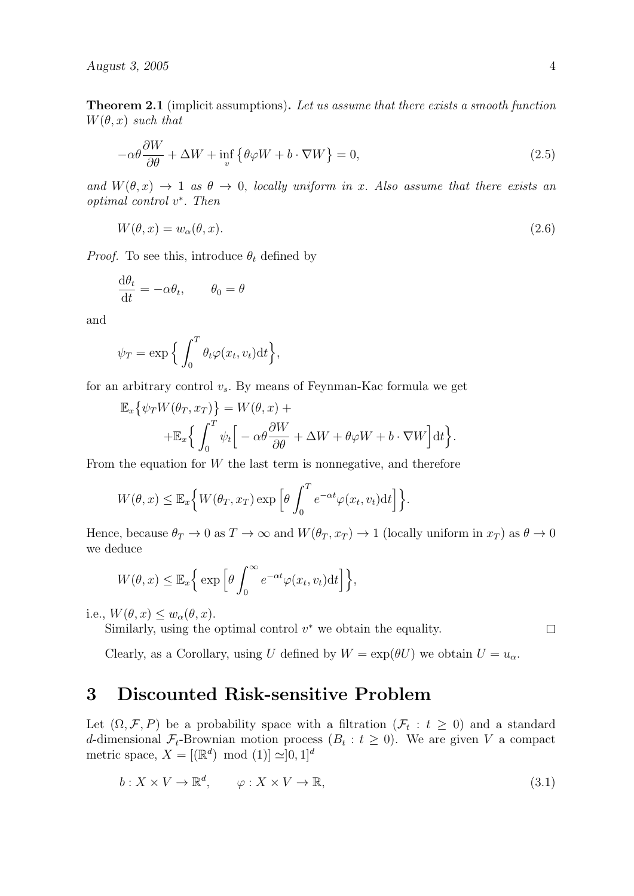<span id="page-4-0"></span>*August 3, 2005* 4

**Theorem 2.1** (implicit assumptions)**.** *Let us assume that there exists a smooth function*  $W(\theta, x)$  *such that* 

$$
-\alpha\theta \frac{\partial W}{\partial \theta} + \Delta W + \inf_{v} \{ \theta \varphi W + b \cdot \nabla W \} = 0, \qquad (2.5)
$$

*and*  $W(\theta, x) \rightarrow 1$  *as*  $\theta \rightarrow 0$ *, locally uniform in x. Also assume that there exists an optimal control v ∗ . Then*

$$
W(\theta, x) = w_{\alpha}(\theta, x). \tag{2.6}
$$

*Proof.* To see this, introduce  $\theta_t$  defined by

$$
\frac{\mathrm{d}\theta_t}{\mathrm{d}t} = -\alpha \theta_t, \qquad \theta_0 = \theta
$$

and

$$
\psi_T = \exp\Big\{\int_0^T \theta_t \varphi(x_t, v_t) \mathrm{d}t\Big\},\,
$$

for an arbitrary control  $v_s$ . By means of Feynman-Kac formula we get

$$
\mathbb{E}_x \{ \psi_T W(\theta_T, x_T) \} = W(\theta, x) +
$$
  
+ 
$$
\mathbb{E}_x \{ \int_0^T \psi_t \Big[ -\alpha \theta \frac{\partial W}{\partial \theta} + \Delta W + \theta \varphi W + b \cdot \nabla W \Big] dt \}.
$$

From the equation for *W* the last term is nonnegative, and therefore

$$
W(\theta, x) \leq \mathbb{E}_x \Big\{ W(\theta_T, x_T) \exp \Big[\theta \int_0^T e^{-\alpha t} \varphi(x_t, v_t) dt\Big] \Big\}.
$$

Hence, because  $\theta_T \to 0$  as  $T \to \infty$  and  $W(\theta_T, x_T) \to 1$  (locally uniform in  $x_T$ ) as  $\theta \to 0$ we deduce

$$
W(\theta, x) \leq \mathbb{E}_x \Big\{ \exp \Big[ \theta \int_0^\infty e^{-\alpha t} \varphi(x_t, v_t) dt \Big] \Big\},\
$$

i.e.,  $W(\theta, x) \leq w_\alpha(\theta, x)$ .

Similarly, using the optimal control *v <sup>∗</sup>* we obtain the equality.

 $\Box$ 

Clearly, as a Corollary, using *U* defined by  $W = \exp(\theta U)$  we obtain  $U = u_{\alpha}$ .

### **3 Discounted Risk-sensitive Problem**

Let  $(\Omega, \mathcal{F}, P)$  be a probability space with a filtration  $(\mathcal{F}_t : t \geq 0)$  and a standard *d*-dimensional  $\mathcal{F}_t$ -Brownian motion process  $(B_t : t \geq 0)$ . We are given *V* a compact metric space,  $X = [(\mathbb{R}^d) \mod (1)] \simeq ]0,1]^d$ 

$$
b: X \times V \to \mathbb{R}^d, \qquad \varphi: X \times V \to \mathbb{R}, \tag{3.1}
$$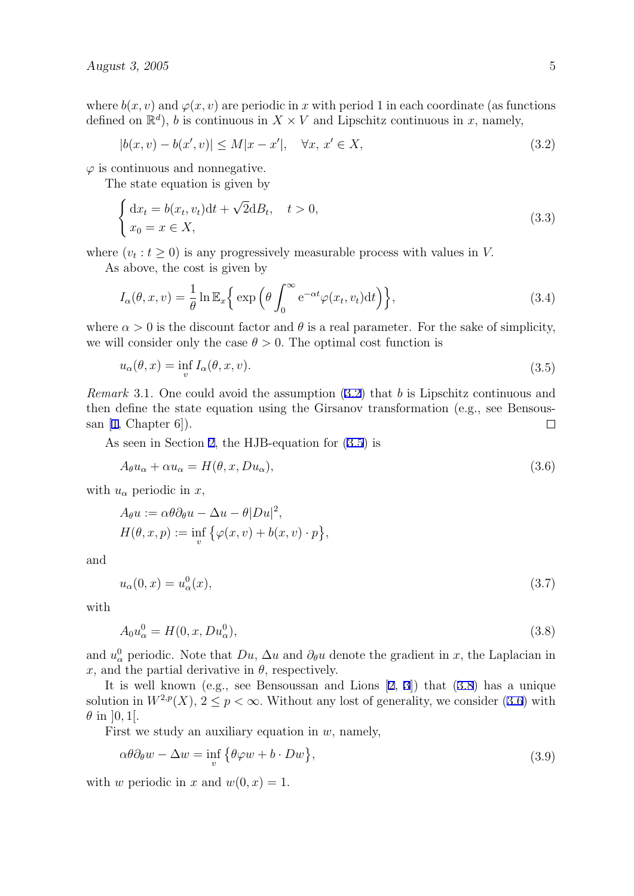<span id="page-5-0"></span>where  $b(x, y)$  and  $\varphi(x, y)$  are periodic in x with period 1 in each coordinate (as functions defined on  $\mathbb{R}^d$ , *b* is continuous in  $X \times V$  and Lipschitz continuous in *x*, namely,

$$
|b(x,v) - b(x',v)| \le M|x - x'|, \quad \forall x, \, x' \in X,\tag{3.2}
$$

 $\varphi$  is continuous and nonnegative.

The state equation is given by

$$
\begin{cases} dx_t = b(x_t, v_t)dt + \sqrt{2}dB_t, \quad t > 0, \\ x_0 = x \in X, \end{cases}
$$
\n(3.3)

where  $(v_t : t \geq 0)$  is any progressively measurable process with values in *V*.

As above, the cost is given by

$$
I_{\alpha}(\theta, x, v) = \frac{1}{\theta} \ln \mathbb{E}_{x} \left\{ \exp \left( \theta \int_{0}^{\infty} e^{-\alpha t} \varphi(x_t, v_t) dt \right) \right\},\tag{3.4}
$$

where  $\alpha > 0$  is the discount factor and  $\theta$  is a real parameter. For the sake of simplicity, we will consider only the case  $\theta > 0$ . The optimal cost function is

$$
u_{\alpha}(\theta, x) = \inf_{v} I_{\alpha}(\theta, x, v). \tag{3.5}
$$

*Remark* 3.1*.* One could avoid the assumption (3.2) that *b* is Lipschitz continuous and then define the state equation using the Girsanov transformation (e.g., see Bensoussan  $[1, Chapter 6]$  $[1, Chapter 6]$ .  $\Box$ 

As seen in Section [2,](#page-3-0) the HJB-equation for (3.5) is

$$
A_{\theta}u_{\alpha} + \alpha u_{\alpha} = H(\theta, x, Du_{\alpha}), \qquad (3.6)
$$

with  $u_{\alpha}$  periodic in  $x$ ,

$$
A_{\theta}u := \alpha \theta \partial_{\theta}u - \Delta u - \theta |Du|^2,
$$
  
\n
$$
H(\theta, x, p) := \inf_{v} \{ \varphi(x, v) + b(x, v) \cdot p \},
$$

and

$$
u_{\alpha}(0,x) = u_{\alpha}^{0}(x), \qquad (3.7)
$$

with

$$
A_0 u_\alpha^0 = H(0, x, Du_\alpha^0), \tag{3.8}
$$

and  $u^0_\alpha$  periodic. Note that  $Du$ ,  $\Delta u$  and  $\partial_\theta u$  denote the gradient in *x*, the Laplacian in  $x$ , and the partial derivative in  $\theta$ , respectively.

It is well known (e.g., see Bensoussan and Lions [[2,](#page-13-0) [3](#page-13-0)]) that (3.8) has a unique solution in  $W^{2,p}(X)$ ,  $2 \leq p < \infty$ . Without any lost of generality, we consider (3.6) with  $\theta$  in [0, 1].

First we study an auxiliary equation in *w,* namely,

$$
\alpha \theta \partial_{\theta} w - \Delta w = \inf_{v} \{ \theta \varphi w + b \cdot Dw \}, \qquad (3.9)
$$

with *w* periodic in *x* and  $w(0, x) = 1$ .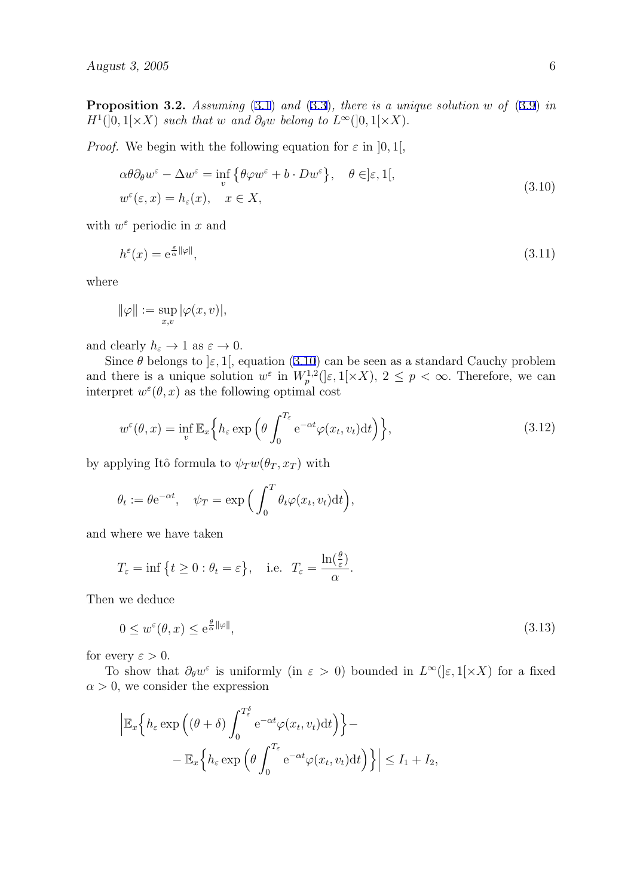**Proposition 3.2.** *Assuming* [\(3.1](#page-4-0)) *and* ([3.3\)](#page-5-0)*, there is a unique solution w of* ([3.9\)](#page-5-0) *in*  $H^1(]0, 1[ \times X)$  *such that w and*  $\partial_{\theta} w$  *belong to*  $L^{\infty}(]0, 1[ \times X)$ *.* 

*Proof.* We begin with the following equation for  $\varepsilon$  in [0, 1],

$$
\alpha \theta \partial_{\theta} w^{\varepsilon} - \Delta w^{\varepsilon} = \inf_{v} \{ \theta \varphi w^{\varepsilon} + b \cdot Dw^{\varepsilon} \}, \quad \theta \in ]\varepsilon, 1[,
$$
  
\n
$$
w^{\varepsilon}(\varepsilon, x) = h_{\varepsilon}(x), \quad x \in X,
$$
\n(3.10)

with  $w^{\varepsilon}$  periodic in *x* and

$$
h^{\varepsilon}(x) = e^{\frac{\varepsilon}{\alpha} ||\varphi||},\tag{3.11}
$$

where

$$
\|\varphi\|:=\sup_{x,v}|\varphi(x,v)|,
$$

and clearly  $h_{\varepsilon} \to 1$  as  $\varepsilon \to 0$ .

Since  $\theta$  belongs to  $\epsilon$ , 1[*,* equation (3.10) can be seen as a standard Cauchy problem and there is a unique solution  $w^{\varepsilon}$  in  $W_p^{1,2}(|\varepsilon,1[\times X), 2 \leq p < \infty$ . Therefore, we can interpret  $w^{\varepsilon}(\theta, x)$  as the following optimal cost

$$
w^{\varepsilon}(\theta, x) = \inf_{v} \mathbb{E}_{x} \left\{ h_{\varepsilon} \exp \left( \theta \int_{0}^{T_{\varepsilon}} e^{-\alpha t} \varphi(x_{t}, v_{t}) dt \right) \right\},
$$
\n(3.12)

by applying Itô formula to  $\psi_T w(\theta_T, x_T)$  with

$$
\theta_t := \theta e^{-\alpha t}, \quad \psi_T = \exp\left(\int_0^T \theta_t \varphi(x_t, v_t) dt\right),
$$

and where we have taken

$$
T_{\varepsilon} = \inf \{ t \ge 0 : \theta_t = \varepsilon \}, \quad \text{i.e.} \quad T_{\varepsilon} = \frac{\ln(\frac{\theta}{\varepsilon})}{\alpha}.
$$

Then we deduce

$$
0 \le w^{\varepsilon}(\theta, x) \le e^{\frac{\theta}{\alpha} ||\varphi||},\tag{3.13}
$$

for every  $\varepsilon > 0$ .

To show that  $\partial_{\theta}w^{\varepsilon}$  is uniformly (in  $\varepsilon > 0$ ) bounded in  $L^{\infty}([\varepsilon,1[\times X])$  for a fixed  $\alpha > 0$ , we consider the expression

$$
\left| \mathbb{E}_x \Big\{ h_\varepsilon \exp \left( (\theta + \delta) \int_0^{T_\varepsilon^{\delta}} e^{-\alpha t} \varphi(x_t, v_t) dt \right) \right\} - - \mathbb{E}_x \Big\{ h_\varepsilon \exp \left( \theta \int_0^{T_\varepsilon} e^{-\alpha t} \varphi(x_t, v_t) dt \right) \Big\} \right| \le I_1 + I_2,
$$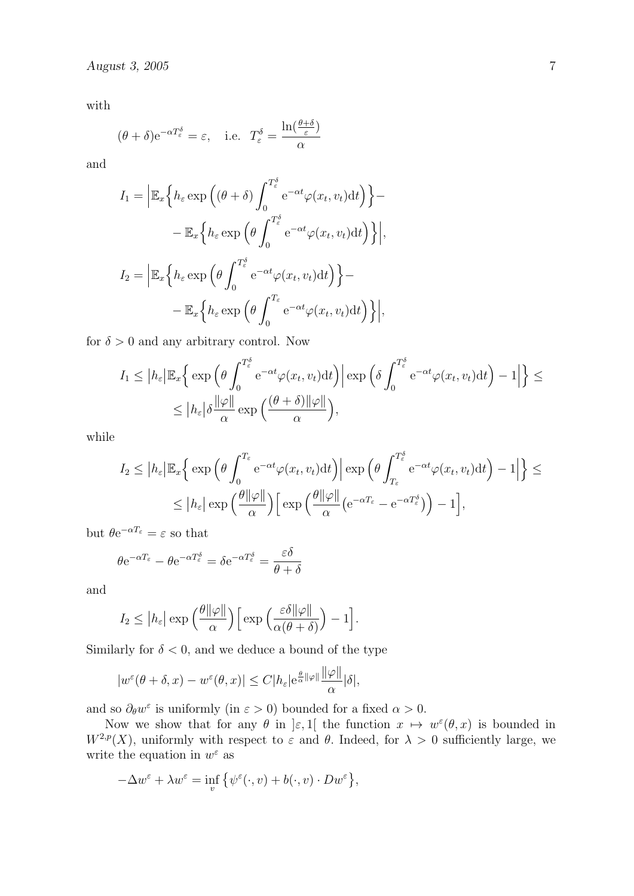with

$$
(\theta + \delta)e^{-\alpha T_{\varepsilon}^{\delta}} = \varepsilon
$$
, i.e.  $T_{\varepsilon}^{\delta} = \frac{\ln(\frac{\theta + \delta}{\varepsilon})}{\alpha}$ 

and

$$
I_1 = \left| \mathbb{E}_x \left\{ h_{\varepsilon} \exp \left( (\theta + \delta) \int_0^{T_{\varepsilon}^{\delta}} e^{-\alpha t} \varphi(x_t, v_t) dt \right) \right\} - \right.
$$
  

$$
- \mathbb{E}_x \left\{ h_{\varepsilon} \exp \left( \theta \int_0^{T_{\varepsilon}^{\delta}} e^{-\alpha t} \varphi(x_t, v_t) dt \right) \right\} \right|,
$$
  

$$
I_2 = \left| \mathbb{E}_x \left\{ h_{\varepsilon} \exp \left( \theta \int_0^{T_{\varepsilon}^{\delta}} e^{-\alpha t} \varphi(x_t, v_t) dt \right) \right\} - \right.
$$
  

$$
- \mathbb{E}_x \left\{ h_{\varepsilon} \exp \left( \theta \int_0^{T_{\varepsilon}} e^{-\alpha t} \varphi(x_t, v_t) dt \right) \right\} \right|,
$$

for  $\delta > 0$  and any arbitrary control. Now

$$
I_1 \leq |h_{\varepsilon}| \mathbb{E}_x \Big\{ \exp \Big( \theta \int_0^{T_{\varepsilon}^{\delta}} e^{-\alpha t} \varphi(x_t, v_t) dt \Big) \Big| \exp \Big( \delta \int_0^{T_{\varepsilon}^{\delta}} e^{-\alpha t} \varphi(x_t, v_t) dt \Big) - 1 \Big| \Big\} \leq
$$
  

$$
\leq |h_{\varepsilon}| \delta \frac{\|\varphi\|}{\alpha} \exp \Big( \frac{(\theta + \delta) \|\varphi\|}{\alpha} \Big),
$$

while

$$
I_2 \le |h_{\varepsilon}| \mathbb{E}_x \Big\{ \exp \Big( \theta \int_0^{T_{\varepsilon}} e^{-\alpha t} \varphi(x_t, v_t) dt \Big) \Big| \exp \Big( \theta \int_{T_{\varepsilon}}^{T_{\varepsilon}^{\delta}} e^{-\alpha t} \varphi(x_t, v_t) dt \Big) - 1 \Big| \Big\} \le
$$
  

$$
\le |h_{\varepsilon}| \exp \Big( \frac{\theta ||\varphi||}{\alpha} \Big) \Big[ \exp \Big( \frac{\theta ||\varphi||}{\alpha} \Big( e^{-\alpha T_{\varepsilon}} - e^{-\alpha T_{\varepsilon}^{\delta}} \Big) \Big) - 1 \Big],
$$

but  $θe^{-αT_ε} = ε$  so that

$$
\theta e^{-\alpha T_{\varepsilon}} - \theta e^{-\alpha T_{\varepsilon}^{\delta}} = \delta e^{-\alpha T_{\varepsilon}^{\delta}} = \frac{\varepsilon \delta}{\theta + \delta}
$$

and

$$
I_2 \leq |h_{\varepsilon}| \exp\left(\frac{\theta ||\varphi||}{\alpha}\right) \left[\exp\left(\frac{\varepsilon \delta ||\varphi||}{\alpha(\theta+\delta)}\right) - 1\right].
$$

Similarly for  $\delta$  < 0, and we deduce a bound of the type

$$
|w^{\varepsilon}(\theta+\delta,x)-w^{\varepsilon}(\theta,x)|\leq C|h_{\varepsilon}|\mathrm{e}^{\frac{\theta}{\alpha}\|\varphi\|}\frac{\|\varphi\|}{\alpha}|\delta|,
$$

and so  $\partial_{\theta} w^{\varepsilon}$  is uniformly (in  $\varepsilon > 0$ ) bounded for a fixed  $\alpha > 0$ .

Now we show that for any  $\theta$  in  $\epsilon$ , 1[ the function  $x \mapsto w^{\epsilon}(\theta, x)$  is bounded in  $W^{2,p}(X)$ , uniformly with respect to  $\varepsilon$  and  $\theta$ . Indeed, for  $\lambda > 0$  sufficiently large, we write the equation in  $w^{\varepsilon}$  as

$$
-\Delta w^{\varepsilon} + \lambda w^{\varepsilon} = \inf_{v} \{ \psi^{\varepsilon}(\cdot, v) + b(\cdot, v) \cdot Dw^{\varepsilon} \},
$$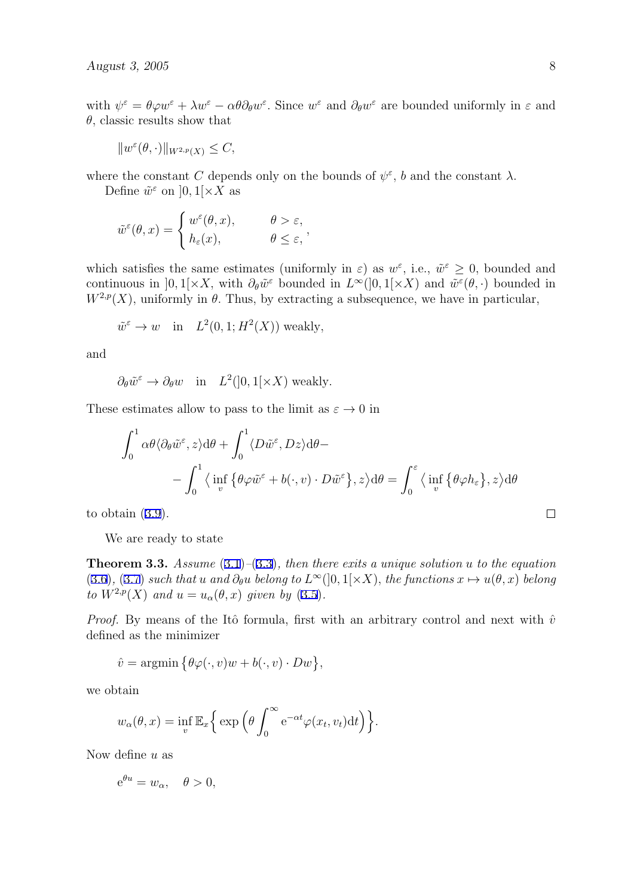with  $\psi^{\varepsilon} = \theta \varphi w^{\varepsilon} + \lambda w^{\varepsilon} - \alpha \theta \partial_{\theta} w^{\varepsilon}$ . Since  $w^{\varepsilon}$  and  $\partial_{\theta} w^{\varepsilon}$  are bounded uniformly in  $\varepsilon$  and *θ,* classic results show that

$$
||w^{\varepsilon}(\theta,\cdot)||_{W^{2,p}(X)} \leq C,
$$

where the constant *C* depends only on the bounds of  $\psi^{\varepsilon}$ , *b* and the constant  $\lambda$ .

Define  $\tilde{w}^{\varepsilon}$  on  $]0,1[\times X]$  as

$$
\tilde{w}^{\varepsilon}(\theta, x) = \begin{cases}\nw^{\varepsilon}(\theta, x), & \theta > \varepsilon, \\
h_{\varepsilon}(x), & \theta \le \varepsilon,\n\end{cases}
$$

which satisfies the same estimates (uniformly in  $\varepsilon$ ) as  $w^{\varepsilon}$ , i.e.,  $\tilde{w}^{\varepsilon} \geq 0$ , bounded and continuous in  $]0,1[\times X]$ , with  $\partial_{\theta}\tilde{w}^{\varepsilon}$  bounded in  $L^{\infty}(]0,1[\times X]$  and  $\tilde{w}^{\varepsilon}(\theta,\cdot)$  bounded in  $W^{2,p}(X)$ , uniformly in  $\theta$ . Thus, by extracting a subsequence, we have in particular,

$$
\tilde{w}^{\varepsilon} \to w
$$
 in  $L^2(0, 1; H^2(X))$  weakly,

and

 $\partial_{\theta} \tilde{w}^{\varepsilon} \to \partial_{\theta} w$  in  $L^2(]0, 1[\times X)$  weakly.

These estimates allow to pass to the limit as  $\varepsilon \to 0$  in

$$
\int_0^1 \alpha \theta \langle \partial_{\theta} \tilde{w}^{\varepsilon}, z \rangle d\theta + \int_0^1 \langle D\tilde{w}^{\varepsilon}, Dz \rangle d\theta -
$$

$$
- \int_0^1 \langle \inf_v \{ \theta \varphi \tilde{w}^{\varepsilon} + b(\cdot, v) \cdot D\tilde{w}^{\varepsilon} \}, z \rangle d\theta = \int_0^{\varepsilon} \langle \inf_v \{ \theta \varphi h_{\varepsilon} \}, z \rangle d\theta
$$

to obtain [\(3.9](#page-5-0)).

We are ready to state

**Theorem 3.3.** *Assume* ([3.1\)](#page-4-0)*–*([3.3\)](#page-5-0)*, then there exits a unique solution u to the equation* ([3.6\)](#page-5-0), [\(3.7](#page-5-0)) such that u and  $\partial_{\theta}u$  belong to  $L^{\infty}(]0,1[\times X)$ , the functions  $x \mapsto u(\theta,x)$  belong *to*  $W^{2,p}(X)$  *and*  $u = u_\alpha(\theta, x)$  *given by* [\(3.5\)](#page-5-0)*.* 

*Proof.* By means of the Itô formula, first with an arbitrary control and next with  $\hat{v}$ defined as the minimizer

$$
\hat{v} = \operatorname{argmin} \{ \theta \varphi(\cdot, v) w + b(\cdot, v) \cdot Dw \},
$$

we obtain

$$
w_{\alpha}(\theta, x) = \inf_{v} \mathbb{E}_{x} \Big\{ \exp \Big( \theta \int_{0}^{\infty} e^{-\alpha t} \varphi(x_{t}, v_{t}) dt \Big) \Big\}.
$$

Now define *u* as

$$
e^{\theta u} = w_{\alpha}, \quad \theta > 0,
$$

 $\Box$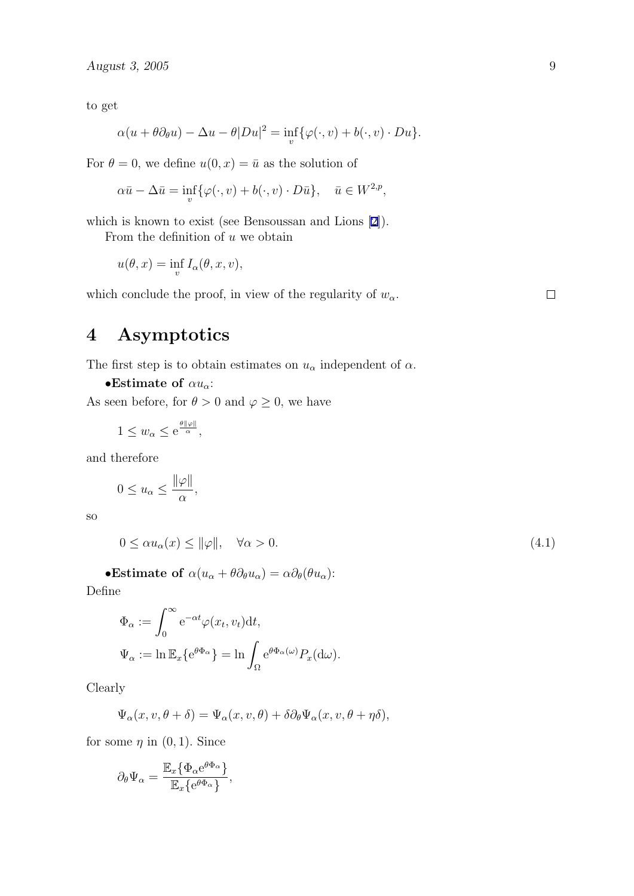<span id="page-9-0"></span>to get

$$
\alpha(u + \theta \partial_{\theta} u) - \Delta u - \theta |Du|^2 = \inf_{v} \{ \varphi(\cdot, v) + b(\cdot, v) \cdot Du \}.
$$

For  $\theta = 0$ , we define  $u(0, x) = \bar{u}$  as the solution of

$$
\alpha \bar{u} - \Delta \bar{u} = \inf_{v} \{ \varphi(\cdot, v) + b(\cdot, v) \cdot D\bar{u} \}, \quad \bar{u} \in W^{2, p},
$$

which is known to exist (see Bensoussan and Lions [[2\]](#page-13-0)).

From the definition of *u* we obtain

$$
u(\theta, x) = \inf_{v} I_{\alpha}(\theta, x, v),
$$

which conclude the proof, in view of the regularity of  $w_\alpha$ .

 $\Box$ 

# **4 Asymptotics**

The first step is to obtain estimates on  $u_{\alpha}$  independent of  $\alpha$ .

*•***Estimate of** *αuα*:

As seen before, for  $\theta > 0$  and  $\varphi \ge 0$ , we have

$$
1 \le w_{\alpha} \le e^{\frac{\theta ||\varphi||}{\alpha}},
$$

and therefore

$$
0 \le u_{\alpha} \le \frac{\|\varphi\|}{\alpha},
$$

so

$$
0 \le \alpha u_{\alpha}(x) \le \|\varphi\|, \quad \forall \alpha > 0. \tag{4.1}
$$

•**Estimate of**  $\alpha(u_{\alpha} + \theta \partial_{\theta} u_{\alpha}) = \alpha \partial_{\theta}(\theta u_{\alpha})$ :

Define

$$
\Phi_{\alpha} := \int_0^{\infty} e^{-\alpha t} \varphi(x_t, v_t) dt,
$$
  

$$
\Psi_{\alpha} := \ln \mathbb{E}_x \{ e^{\theta \Phi_{\alpha}} \} = \ln \int_{\Omega} e^{\theta \Phi_{\alpha}(\omega)} P_x(d\omega).
$$

Clearly

$$
\Psi_{\alpha}(x,v,\theta+\delta)=\Psi_{\alpha}(x,v,\theta)+\delta\partial_{\theta}\Psi_{\alpha}(x,v,\theta+\eta\delta),
$$

for some  $\eta$  in  $(0, 1)$ *.* Since

$$
\partial_{\theta} \Psi_{\alpha} = \frac{\mathbb{E}_{x} \{ \Phi_{\alpha} e^{\theta \Phi_{\alpha}} \}}{\mathbb{E}_{x} \{ e^{\theta \Phi_{\alpha}} \}},
$$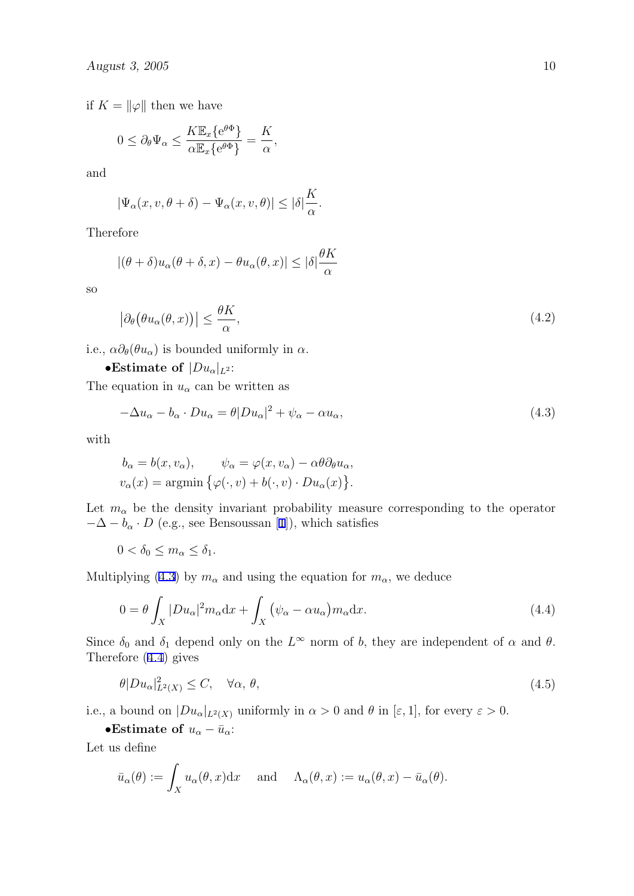<span id="page-10-0"></span>if  $K = ||\varphi||$  then we have

$$
0 \leq \partial_{\theta} \Psi_{\alpha} \leq \frac{K \mathbb{E}_{x} \{ e^{\theta \Phi} \}}{\alpha \mathbb{E}_{x} \{ e^{\theta \Phi} \}} = \frac{K}{\alpha},
$$

and

$$
|\Psi_{\alpha}(x,v,\theta+\delta)-\Psi_{\alpha}(x,v,\theta)|\leq |\delta|\frac{K}{\alpha}.
$$

Therefore

$$
|(\theta + \delta)u_{\alpha}(\theta + \delta, x) - \theta u_{\alpha}(\theta, x)| \leq |\delta| \frac{\theta K}{\alpha}
$$

so

$$
\left|\partial_{\theta}\left(\theta u_{\alpha}(\theta,x)\right)\right| \leq \frac{\theta K}{\alpha},\tag{4.2}
$$

i.e.,  $\alpha \partial_{\theta}(\theta u_{\alpha})$  is bounded uniformly in  $\alpha$ .

•**Estimate of**  $|Du_{\alpha}|_{L^2}$ :

The equation in  $u_{\alpha}$  can be written as

$$
-\Delta u_{\alpha} - b_{\alpha} \cdot Du_{\alpha} = \theta |Du_{\alpha}|^2 + \psi_{\alpha} - \alpha u_{\alpha}, \qquad (4.3)
$$

with

$$
b_{\alpha} = b(x, v_{\alpha}), \qquad \psi_{\alpha} = \varphi(x, v_{\alpha}) - \alpha \theta \partial_{\theta} u_{\alpha},
$$
  

$$
v_{\alpha}(x) = \operatorname{argmin} \{ \varphi(\cdot, v) + b(\cdot, v) \cdot Du_{\alpha}(x) \}.
$$

Let  $m_{\alpha}$  be the density invariant probability measure corresponding to the operator  $-\Delta - b_{\alpha} \cdot D$  (e.g., see Bensoussan [\[1\]](#page-13-0)), which satisfies

$$
0 < \delta_0 \le m_\alpha \le \delta_1.
$$

Multiplying (4.3) by  $m_{\alpha}$  and using the equation for  $m_{\alpha}$ , we deduce

$$
0 = \theta \int_X |Du_\alpha|^2 m_\alpha dx + \int_X (\psi_\alpha - \alpha u_\alpha) m_\alpha dx.
$$
 (4.4)

Since  $\delta_0$  and  $\delta_1$  depend only on the  $L^{\infty}$  norm of *b*, they are independent of  $\alpha$  and  $\theta$ . Therefore (4.4) gives

$$
\theta |Du_{\alpha}|_{L^{2}(X)}^{2} \leq C, \quad \forall \alpha, \theta,
$$
\n(4.5)

i.e., a bound on  $|Du_{\alpha}|_{L^2(X)}$  uniformly in  $\alpha > 0$  and  $\theta$  in  $[\varepsilon, 1]$ , for every  $\varepsilon > 0$ .

•**Estimate of**  $u_{\alpha} - \bar{u}_{\alpha}$ :

Let us define

$$
\bar{u}_{\alpha}(\theta) := \int_{X} u_{\alpha}(\theta, x) dx
$$
 and  $\Lambda_{\alpha}(\theta, x) := u_{\alpha}(\theta, x) - \bar{u}_{\alpha}(\theta)$ .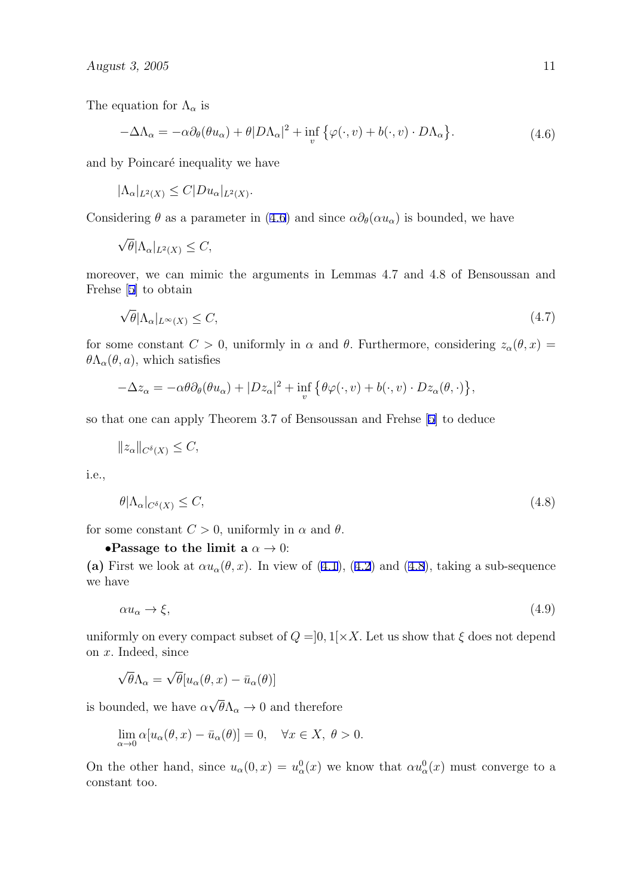<span id="page-11-0"></span>The equation for  $\Lambda_{\alpha}$  is

$$
-\Delta\Lambda_{\alpha} = -\alpha \partial_{\theta}(\theta u_{\alpha}) + \theta |D\Lambda_{\alpha}|^{2} + \inf_{v} \{ \varphi(\cdot, v) + b(\cdot, v) \cdot D\Lambda_{\alpha} \}.
$$
 (4.6)

and by Poincaré inequality we have

 $|\Lambda_{\alpha}|_{L^{2}(X)} \leq C|Du_{\alpha}|_{L^{2}(X)}$ .

Considering  $\theta$  as a parameter in (4.6) and since  $\alpha \partial_{\theta}(\alpha u_{\alpha})$  is bounded, we have

$$
\sqrt{\theta} |\Lambda_{\alpha}|_{L^2(X)} \leq C,
$$

moreover, we can mimic the arguments in Lemmas 4.7 and 4.8 of Bensoussan and Frehse [[5\]](#page-13-0) to obtain

$$
\sqrt{\theta} |\Lambda_{\alpha}|_{L^{\infty}(X)} \le C,\tag{4.7}
$$

for some constant  $C > 0$ , uniformly in  $\alpha$  and  $\theta$ . Furthermore, considering  $z_{\alpha}(\theta, x) =$  $\theta \Lambda_{\alpha}(\theta, a)$ , which satisfies

$$
-\Delta z_{\alpha} = -\alpha \theta \partial_{\theta} (\theta u_{\alpha}) + |Dz_{\alpha}|^2 + \inf_{v} \{ \theta \varphi(\cdot, v) + b(\cdot, v) \cdot Dz_{\alpha}(\theta, \cdot) \},
$$

so that one can apply Theorem 3.7 of Bensoussan and Frehse [[5](#page-13-0)] to deduce

$$
||z_{\alpha}||_{C^{\delta}(X)} \leq C,
$$

i.e.,

$$
\theta|\Lambda_{\alpha}|_{C^{\delta}(X)} \leq C,\tag{4.8}
$$

for some constant  $C > 0$ , uniformly in  $\alpha$  and  $\theta$ .

**•Passage to the limit a**  $\alpha \to 0$ :

(a) First we look at  $\alpha u_{\alpha}(\theta, x)$ . In view of [\(4.1](#page-9-0)), [\(4.2](#page-10-0)) and (4.8), taking a sub-sequence we have

 $\alpha u_{\alpha} \to \xi$ , (4.9)

uniformly on every compact subset of  $Q = ]0,1[\times X]$ . Let us show that  $\xi$  does not depend on *x.* Indeed, since

$$
\sqrt{\theta}\Lambda_{\alpha} = \sqrt{\theta}[u_{\alpha}(\theta, x) - \bar{u}_{\alpha}(\theta)]
$$

is bounded, we have *α √*  $\theta \Lambda_{\alpha} \to 0$  and therefore

$$
\lim_{\alpha \to 0} \alpha [u_{\alpha}(\theta, x) - \bar{u}_{\alpha}(\theta)] = 0, \quad \forall x \in X, \ \theta > 0.
$$

On the other hand, since  $u_{\alpha}(0, x) = u_{\alpha}^{0}(x)$  we know that  $\alpha u_{\alpha}^{0}(x)$  must converge to a constant too.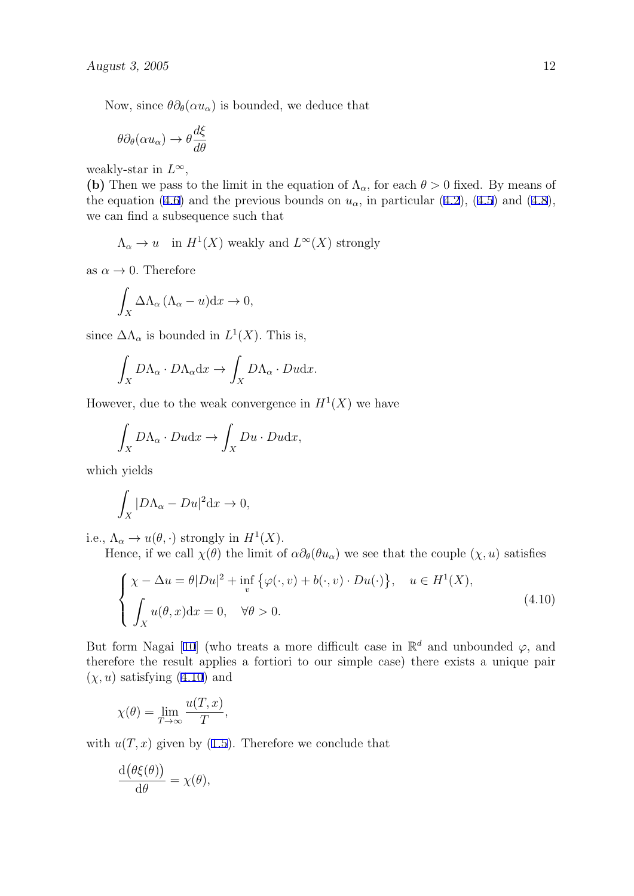<span id="page-12-0"></span>Now, since  $\theta \partial_{\theta}(\alpha u_{\alpha})$  is bounded, we deduce that

$$
\theta \partial_{\theta}(\alpha u_{\alpha}) \to \theta \frac{d\xi}{d\theta}
$$

weakly-star in  $L^{\infty}$ ,

**(b)** Then we pass to the limit in the equation of  $\Lambda_{\alpha}$ , for each  $\theta > 0$  fixed. By means of the equation ([4.6\)](#page-11-0) and the previous bounds on  $u_{\alpha}$ , in particular ([4.2\)](#page-10-0), [\(4.5](#page-10-0)) and [\(4.8](#page-11-0)), we can find a subsequence such that

 $\Lambda_{\alpha} \to u$  in  $H^1(X)$  weakly and  $L^{\infty}(X)$  strongly

as  $\alpha \to 0$ . Therefore

$$
\int_X \Delta \Lambda_\alpha \left( \Lambda_\alpha - u \right) \mathrm{d}x \to 0,
$$

since  $\Delta\Lambda_{\alpha}$  is bounded in  $L^{1}(X)$ . This is,

$$
\int_X D\Lambda_\alpha \cdot D\Lambda_\alpha \mathrm{d}x \to \int_X D\Lambda_\alpha \cdot D u \mathrm{d}x.
$$

However, due to the weak convergence in  $H^1(X)$  we have

$$
\int_X D\Lambda_\alpha \cdot Dudx \to \int_X Du \cdot Dudx,
$$

which yields

$$
\int_X |D\Lambda_\alpha - Du|^2 \mathrm{d}x \to 0,
$$

i.e.,  $\Lambda_{\alpha} \to u(\theta, \cdot)$  strongly in  $H^1(X)$ .

Hence, if we call  $\chi(\theta)$  the limit of  $\alpha \partial_{\theta}(\theta u_{\alpha})$  we see that the couple  $(\chi, u)$  satisfies

$$
\begin{cases}\n\chi - \Delta u = \theta |Du|^2 + \inf_{v} \{\varphi(\cdot, v) + b(\cdot, v) \cdot Du(\cdot)\}, & u \in H^1(X), \\
\int_X u(\theta, x) dx = 0, & \forall \theta > 0.\n\end{cases}
$$
\n(4.10)

But form Nagai [\[10\]](#page-14-0) (who treats a more difficult case in  $\mathbb{R}^d$  and unbounded  $\varphi$ , and therefore the result applies a fortiori to our simple case) there exists a unique pair  $(\chi, u)$  satisfying  $(4.10)$  and

$$
\chi(\theta) = \lim_{T \to \infty} \frac{u(T, x)}{T},
$$

with  $u(T, x)$  given by ([1.5\)](#page-2-0). Therefore we conclude that

$$
\frac{\mathrm{d}\big(\theta\xi(\theta)\big)}{\mathrm{d}\theta} = \chi(\theta),
$$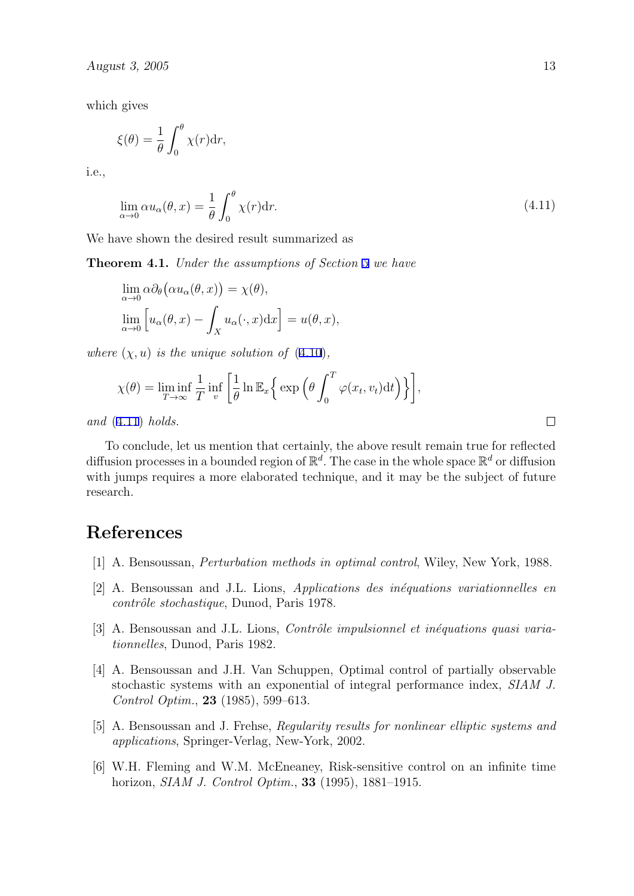<span id="page-13-0"></span>which gives

$$
\xi(\theta) = \frac{1}{\theta} \int_0^{\theta} \chi(r) dr,
$$

i.e.,

$$
\lim_{\alpha \to 0} \alpha u_{\alpha}(\theta, x) = \frac{1}{\theta} \int_0^{\theta} \chi(r) dr.
$$
\n(4.11)

We have shown the desired result summarized as

**Theorem 4.1.** *Under the assumptions of Section [3](#page-4-0) we have*

$$
\lim_{\alpha \to 0} \alpha \partial_{\theta} (\alpha u_{\alpha}(\theta, x)) = \chi(\theta),
$$
  

$$
\lim_{\alpha \to 0} \left[ u_{\alpha}(\theta, x) - \int_{X} u_{\alpha}(\cdot, x) dx \right] = u(\theta, x),
$$

*where*  $(\chi, u)$  *is the unique solution of*  $(4.10)$  $(4.10)$ *,* 

$$
\chi(\theta) = \liminf_{T \to \infty} \frac{1}{T} \inf_v \left[ \frac{1}{\theta} \ln \mathbb{E}_x \left\{ \exp \left( \theta \int_0^T \varphi(x_t, v_t) dt \right) \right\} \right],
$$

*and* (4.11) *holds.*

To conclude, let us mention that certainly, the above result remain true for reflected diffusion processes in a bounded region of  $\mathbb{R}^d$ . The case in the whole space  $\mathbb{R}^d$  or diffusion with jumps requires a more elaborated technique, and it may be the subject of future research.

## **References**

- [1] A. Bensoussan, *Perturbation methods in optimal control*, Wiley, New York, 1988.
- [2] A. Bensoussan and J.L. Lions, *Applications des inéquations variationnelles en contrôle stochastique*, Dunod, Paris 1978.
- [3] A. Bensoussan and J.L. Lions, *Contrôle impulsionnel et inéquations quasi variationnelles*, Dunod, Paris 1982.
- [4] A. Bensoussan and J.H. Van Schuppen, Optimal control of partially observable stochastic systems with an exponential of integral performance index, *SIAM J. Control Optim.*, **23** (1985), 599–613.
- [5] A. Bensoussan and J. Frehse, *Regularity results for nonlinear elliptic systems and applications*, Springer-Verlag, New-York, 2002.
- [6] W.H. Fleming and W.M. McEneaney, Risk-sensitive control on an infinite time horizon, *SIAM J. Control Optim.*, **33** (1995), 1881–1915.

 $\Box$